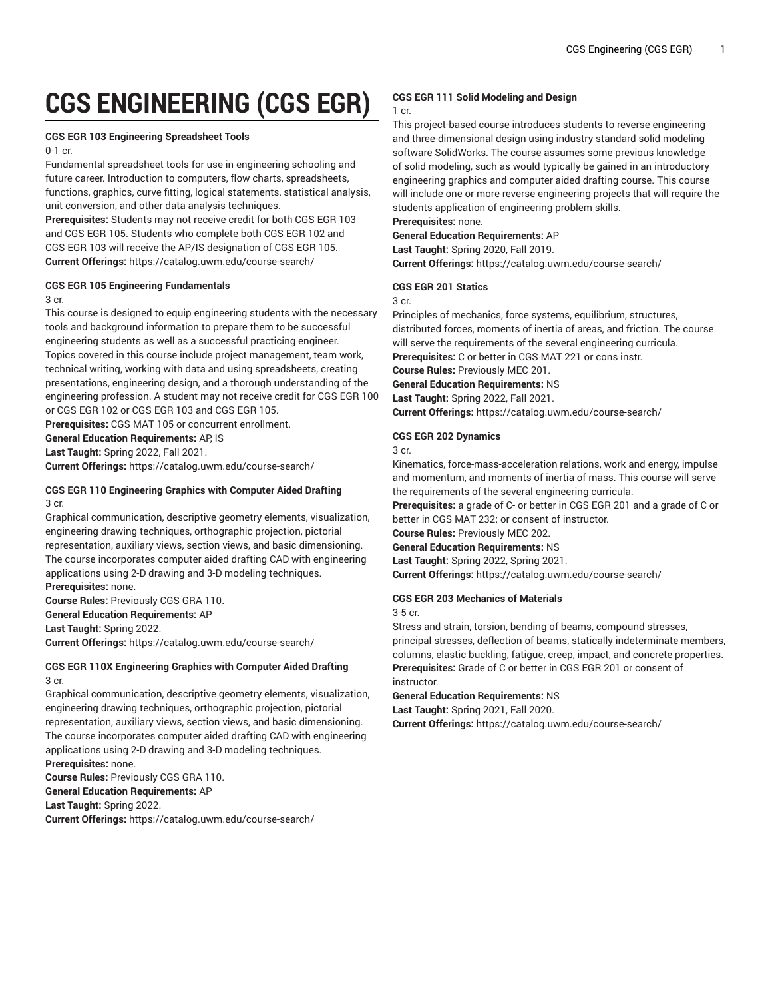# **CGS ENGINEERING (CGS EGR)**

#### **CGS EGR 103 Engineering Spreadsheet Tools**

#### 0-1 cr.

Fundamental spreadsheet tools for use in engineering schooling and future career. Introduction to computers, flow charts, spreadsheets, functions, graphics, curve fitting, logical statements, statistical analysis, unit conversion, and other data analysis techniques.

**Prerequisites:** Students may not receive credit for both CGS EGR 103 and CGS EGR 105. Students who complete both CGS EGR 102 and CGS EGR 103 will receive the AP/IS designation of CGS EGR 105. **Current Offerings:** <https://catalog.uwm.edu/course-search/>

#### **CGS EGR 105 Engineering Fundamentals**

#### 3 cr.

This course is designed to equip engineering students with the necessary tools and background information to prepare them to be successful engineering students as well as a successful practicing engineer. Topics covered in this course include project management, team work, technical writing, working with data and using spreadsheets, creating presentations, engineering design, and a thorough understanding of the engineering profession. A student may not receive credit for CGS EGR 100 or CGS EGR 102 or CGS EGR 103 and CGS EGR 105.

**Prerequisites:** CGS MAT 105 or concurrent enrollment.

**General Education Requirements:** AP, IS

**Last Taught:** Spring 2022, Fall 2021.

**Current Offerings:** <https://catalog.uwm.edu/course-search/>

# **CGS EGR 110 Engineering Graphics with Computer Aided Drafting** 3 cr.

Graphical communication, descriptive geometry elements, visualization, engineering drawing techniques, orthographic projection, pictorial representation, auxiliary views, section views, and basic dimensioning. The course incorporates computer aided drafting CAD with engineering applications using 2-D drawing and 3-D modeling techniques. **Prerequisites:** none.

**Course Rules:** Previously CGS GRA 110. **General Education Requirements:** AP **Last Taught:** Spring 2022. **Current Offerings:** <https://catalog.uwm.edu/course-search/>

#### **CGS EGR 110X Engineering Graphics with Computer Aided Drafting** 3 cr.

Graphical communication, descriptive geometry elements, visualization, engineering drawing techniques, orthographic projection, pictorial representation, auxiliary views, section views, and basic dimensioning. The course incorporates computer aided drafting CAD with engineering applications using 2-D drawing and 3-D modeling techniques. **Prerequisites:** none.

**Course Rules:** Previously CGS GRA 110. **General Education Requirements:** AP **Last Taught:** Spring 2022. **Current Offerings:** <https://catalog.uwm.edu/course-search/>

# **CGS EGR 111 Solid Modeling and Design**

# 1 cr.

This project-based course introduces students to reverse engineering and three-dimensional design using industry standard solid modeling software SolidWorks. The course assumes some previous knowledge of solid modeling, such as would typically be gained in an introductory engineering graphics and computer aided drafting course. This course will include one or more reverse engineering projects that will require the students application of engineering problem skills.

**Prerequisites:** none.

# **General Education Requirements:** AP

**Last Taught:** Spring 2020, Fall 2019. **Current Offerings:** <https://catalog.uwm.edu/course-search/>

#### **CGS EGR 201 Statics**

3 cr.

Principles of mechanics, force systems, equilibrium, structures, distributed forces, moments of inertia of areas, and friction. The course will serve the requirements of the several engineering curricula. **Prerequisites:** C or better in CGS MAT 221 or cons instr. **Course Rules:** Previously MEC 201. **General Education Requirements:** NS **Last Taught:** Spring 2022, Fall 2021.

**Current Offerings:** <https://catalog.uwm.edu/course-search/>

#### **CGS EGR 202 Dynamics**

3 cr.

Kinematics, force-mass-acceleration relations, work and energy, impulse and momentum, and moments of inertia of mass. This course will serve the requirements of the several engineering curricula.

**Prerequisites:** a grade of C- or better in CGS EGR 201 and a grade of C or better in CGS MAT 232; or consent of instructor.

**Course Rules:** Previously MEC 202. **General Education Requirements:** NS **Last Taught:** Spring 2022, Spring 2021. **Current Offerings:** <https://catalog.uwm.edu/course-search/>

#### **CGS EGR 203 Mechanics of Materials**

3-5 cr.

Stress and strain, torsion, bending of beams, compound stresses, principal stresses, deflection of beams, statically indeterminate members, columns, elastic buckling, fatigue, creep, impact, and concrete properties. **Prerequisites:** Grade of C or better in CGS EGR 201 or consent of instructor.

#### **General Education Requirements:** NS

**Last Taught:** Spring 2021, Fall 2020.

**Current Offerings:** <https://catalog.uwm.edu/course-search/>